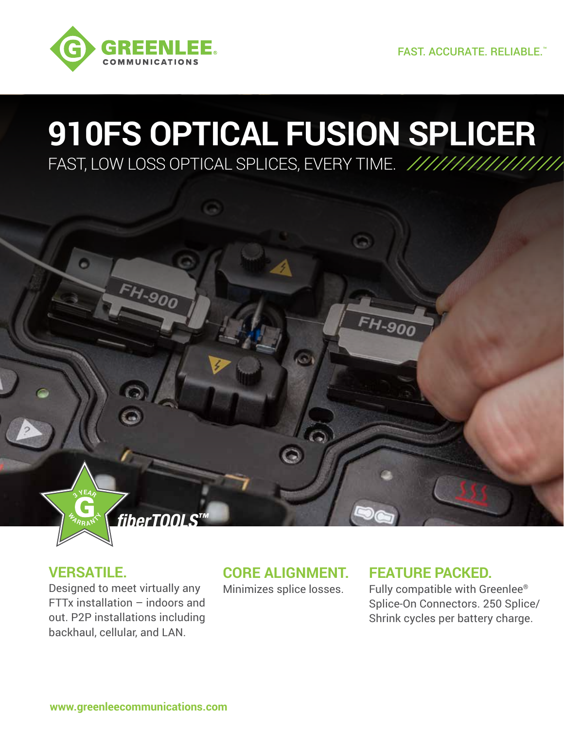

## **910FS OPTICAL FUSION SPLICER** FAST, LOW LOSS OPTICAL SPLICES, EVERY TIME.



 $\frac{d}{dA}$  **R**  $R$   $M$ 

**3<sup>Y</sup>EA<sup>R</sup>**

Designed to meet virtually any FTTx installation – indoors and out. P2P installations including backhaul, cellular, and LAN.

*fiberTOOLS™*

FH-900

### **CORE ALIGNMENT.**

Minimizes splice losses.

### **FEATURE PACKED.**

FH-900

Fully compatible with Greenlee® Splice-On Connectors. 250 Splice/ Shrink cycles per battery charge.